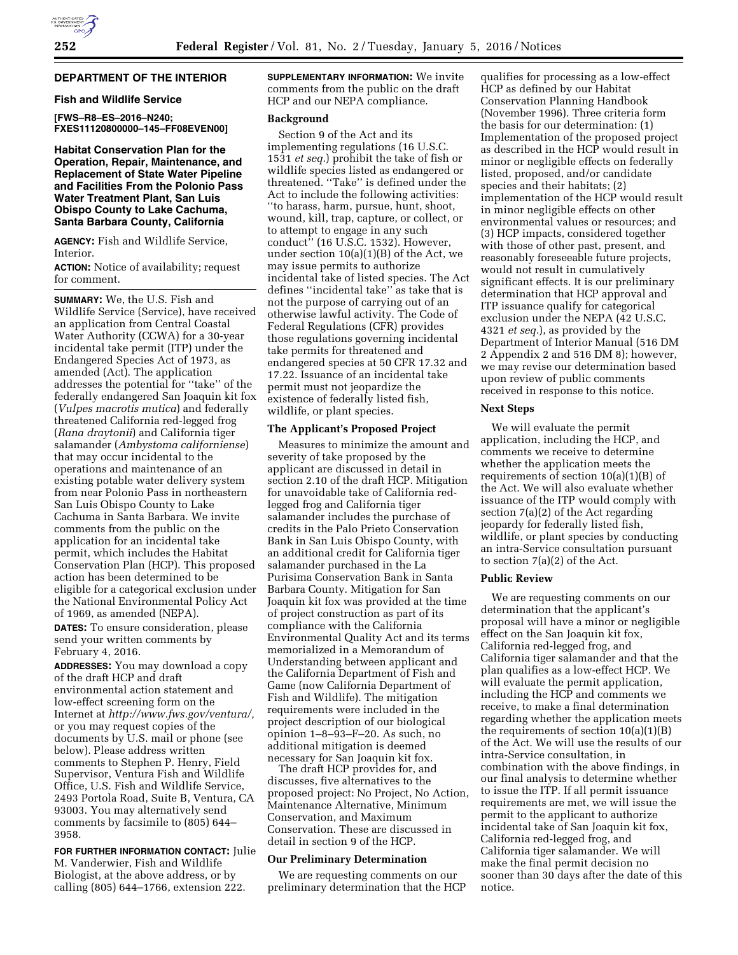# **DEPARTMENT OF THE INTERIOR**

## **Fish and Wildlife Service**

**[FWS–R8–ES–2016–N240; FXES11120800000–145–FF08EVEN00]** 

**Habitat Conservation Plan for the Operation, Repair, Maintenance, and Replacement of State Water Pipeline and Facilities From the Polonio Pass Water Treatment Plant, San Luis Obispo County to Lake Cachuma, Santa Barbara County, California** 

**AGENCY:** Fish and Wildlife Service, Interior.

**ACTION:** Notice of availability; request for comment.

**SUMMARY:** We, the U.S. Fish and Wildlife Service (Service), have received an application from Central Coastal Water Authority (CCWA) for a 30-year incidental take permit (ITP) under the Endangered Species Act of 1973, as amended (Act). The application addresses the potential for ''take'' of the federally endangered San Joaquin kit fox (*Vulpes macrotis mutica*) and federally threatened California red-legged frog (*Rana draytonii*) and California tiger salamander (*Ambystoma californiense*) that may occur incidental to the operations and maintenance of an existing potable water delivery system from near Polonio Pass in northeastern San Luis Obispo County to Lake Cachuma in Santa Barbara. We invite comments from the public on the application for an incidental take permit, which includes the Habitat Conservation Plan (HCP). This proposed action has been determined to be eligible for a categorical exclusion under the National Environmental Policy Act of 1969, as amended (NEPA).

**DATES:** To ensure consideration, please send your written comments by February 4, 2016.

**ADDRESSES:** You may download a copy of the draft HCP and draft environmental action statement and low-effect screening form on the Internet at *[http://www.fws.gov/ventura/,](http://www.fws.gov/ventura/)*  or you may request copies of the documents by U.S. mail or phone (see below). Please address written comments to Stephen P. Henry, Field Supervisor, Ventura Fish and Wildlife Office, U.S. Fish and Wildlife Service, 2493 Portola Road, Suite B, Ventura, CA 93003. You may alternatively send comments by facsimile to (805) 644– 3958.

**FOR FURTHER INFORMATION CONTACT:** Julie

M. Vanderwier, Fish and Wildlife Biologist, at the above address, or by calling (805) 644–1766, extension 222. **SUPPLEMENTARY INFORMATION:** We invite comments from the public on the draft HCP and our NEPA compliance.

#### **Background**

Section 9 of the Act and its implementing regulations (16 U.S.C. 1531 *et seq.*) prohibit the take of fish or wildlife species listed as endangered or threatened. ''Take'' is defined under the Act to include the following activities: ''to harass, harm, pursue, hunt, shoot, wound, kill, trap, capture, or collect, or to attempt to engage in any such conduct'' (16 U.S.C. 1532). However, under section  $10(a)(1)(B)$  of the Act, we may issue permits to authorize incidental take of listed species. The Act defines ''incidental take'' as take that is not the purpose of carrying out of an otherwise lawful activity. The Code of Federal Regulations (CFR) provides those regulations governing incidental take permits for threatened and endangered species at 50 CFR 17.32 and 17.22. Issuance of an incidental take permit must not jeopardize the existence of federally listed fish, wildlife, or plant species.

#### **The Applicant's Proposed Project**

Measures to minimize the amount and severity of take proposed by the applicant are discussed in detail in section 2.10 of the draft HCP. Mitigation for unavoidable take of California redlegged frog and California tiger salamander includes the purchase of credits in the Palo Prieto Conservation Bank in San Luis Obispo County, with an additional credit for California tiger salamander purchased in the La Purisima Conservation Bank in Santa Barbara County. Mitigation for San Joaquin kit fox was provided at the time of project construction as part of its compliance with the California Environmental Quality Act and its terms memorialized in a Memorandum of Understanding between applicant and the California Department of Fish and Game (now California Department of Fish and Wildlife). The mitigation requirements were included in the project description of our biological opinion 1–8–93–F–20. As such, no additional mitigation is deemed necessary for San Joaquin kit fox.

The draft HCP provides for, and discusses, five alternatives to the proposed project: No Project, No Action, Maintenance Alternative, Minimum Conservation, and Maximum Conservation. These are discussed in detail in section 9 of the HCP.

# **Our Preliminary Determination**

We are requesting comments on our preliminary determination that the HCP

qualifies for processing as a low-effect HCP as defined by our Habitat Conservation Planning Handbook (November 1996). Three criteria form the basis for our determination: (1) Implementation of the proposed project as described in the HCP would result in minor or negligible effects on federally listed, proposed, and/or candidate species and their habitats; (2) implementation of the HCP would result in minor negligible effects on other environmental values or resources; and (3) HCP impacts, considered together with those of other past, present, and reasonably foreseeable future projects, would not result in cumulatively significant effects. It is our preliminary determination that HCP approval and ITP issuance qualify for categorical exclusion under the NEPA (42 U.S.C. 4321 *et seq.*), as provided by the Department of Interior Manual (516 DM 2 Appendix 2 and 516 DM 8); however, we may revise our determination based upon review of public comments received in response to this notice.

#### **Next Steps**

We will evaluate the permit application, including the HCP, and comments we receive to determine whether the application meets the requirements of section  $10(a)(1)(B)$  of the Act. We will also evaluate whether issuance of the ITP would comply with section 7(a)(2) of the Act regarding jeopardy for federally listed fish, wildlife, or plant species by conducting an intra-Service consultation pursuant to section 7(a)(2) of the Act.

#### **Public Review**

We are requesting comments on our determination that the applicant's proposal will have a minor or negligible effect on the San Joaquin kit fox, California red-legged frog, and California tiger salamander and that the plan qualifies as a low-effect HCP. We will evaluate the permit application, including the HCP and comments we receive, to make a final determination regarding whether the application meets the requirements of section  $10(a)(1)(B)$ of the Act. We will use the results of our intra-Service consultation, in combination with the above findings, in our final analysis to determine whether to issue the ITP. If all permit issuance requirements are met, we will issue the permit to the applicant to authorize incidental take of San Joaquin kit fox, California red-legged frog, and California tiger salamander. We will make the final permit decision no sooner than 30 days after the date of this notice.